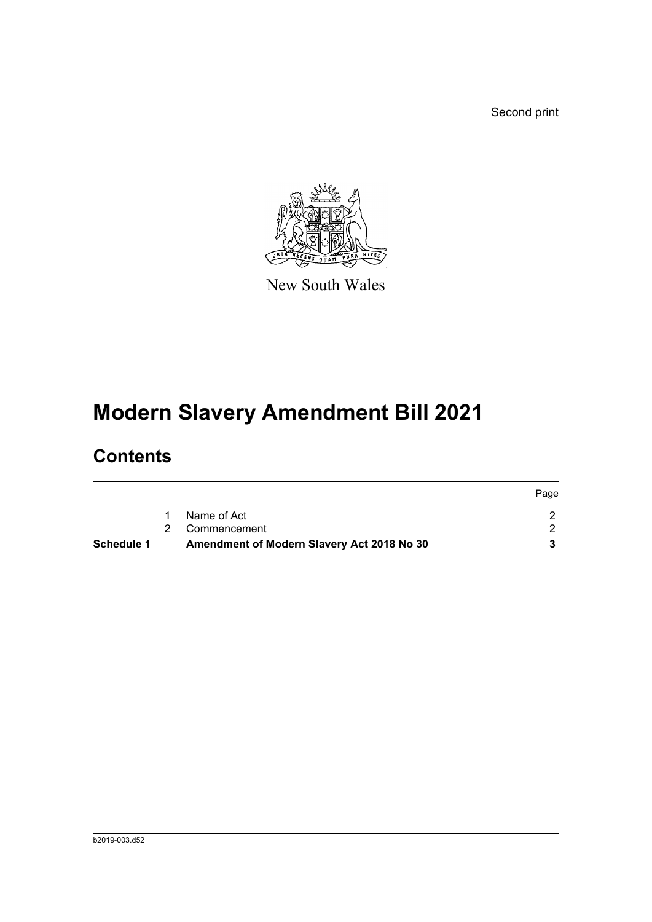Second print



New South Wales

# **Modern Slavery Amendment Bill 2021**

### **Contents**

| Name of Act<br>2 Commencement | Schedule 1 | Amendment of Modern Slavery Act 2018 No 30 |  |
|-------------------------------|------------|--------------------------------------------|--|
|                               |            |                                            |  |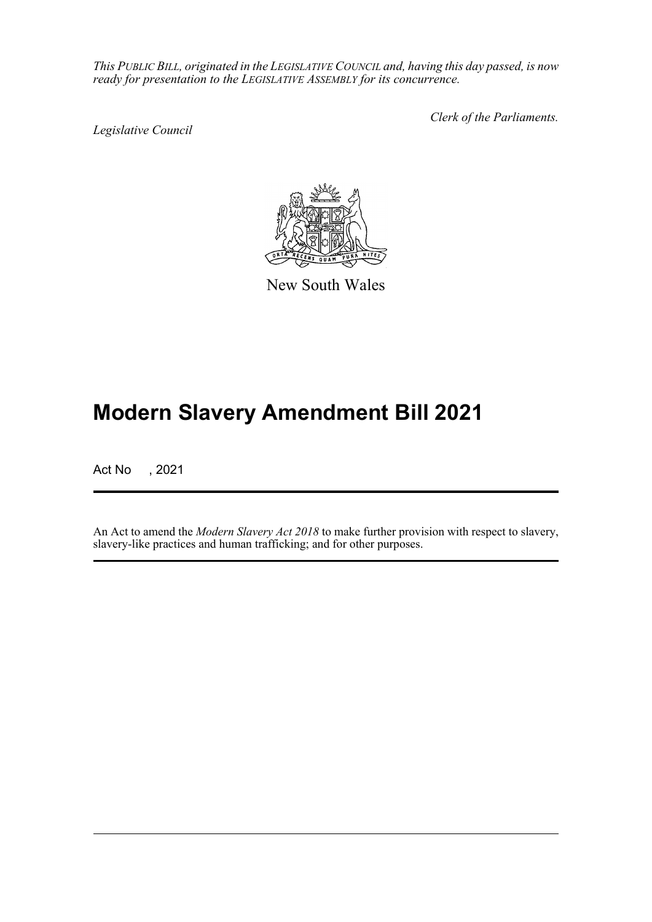*This PUBLIC BILL, originated in the LEGISLATIVE COUNCIL and, having this day passed, is now ready for presentation to the LEGISLATIVE ASSEMBLY for its concurrence.*

*Legislative Council*

*Clerk of the Parliaments.*



New South Wales

## **Modern Slavery Amendment Bill 2021**

Act No , 2021

An Act to amend the *Modern Slavery Act 2018* to make further provision with respect to slavery, slavery-like practices and human trafficking; and for other purposes.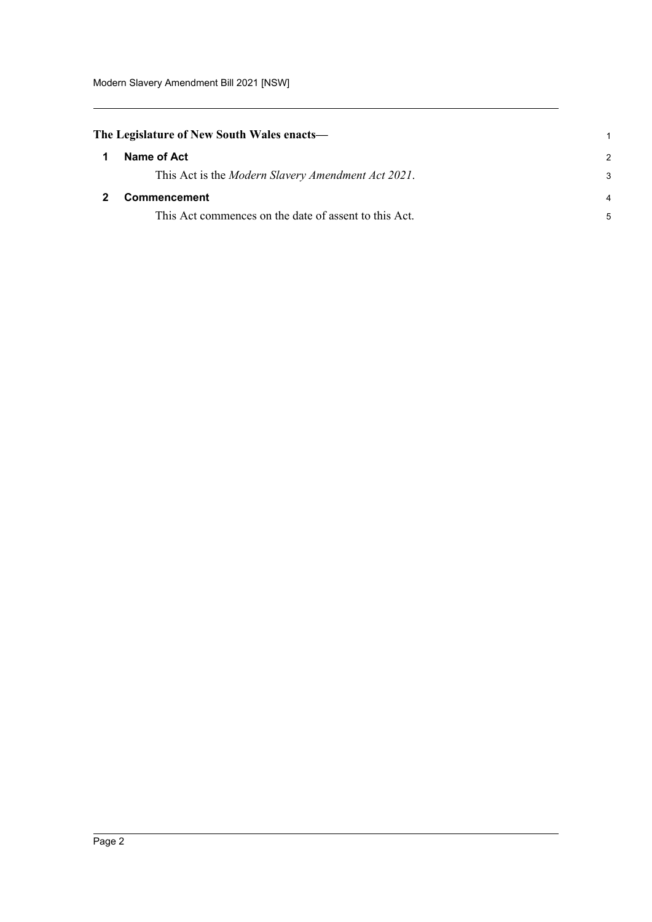<span id="page-2-1"></span><span id="page-2-0"></span>

|             | The Legislature of New South Wales enacts—                 |                |  |
|-------------|------------------------------------------------------------|----------------|--|
| $\mathbf 1$ | Name of Act                                                | $\mathcal{P}$  |  |
|             | This Act is the <i>Modern Slavery Amendment Act 2021</i> . | 3              |  |
|             | <b>Commencement</b>                                        | $\overline{4}$ |  |
|             | This Act commences on the date of assent to this Act.      | 5              |  |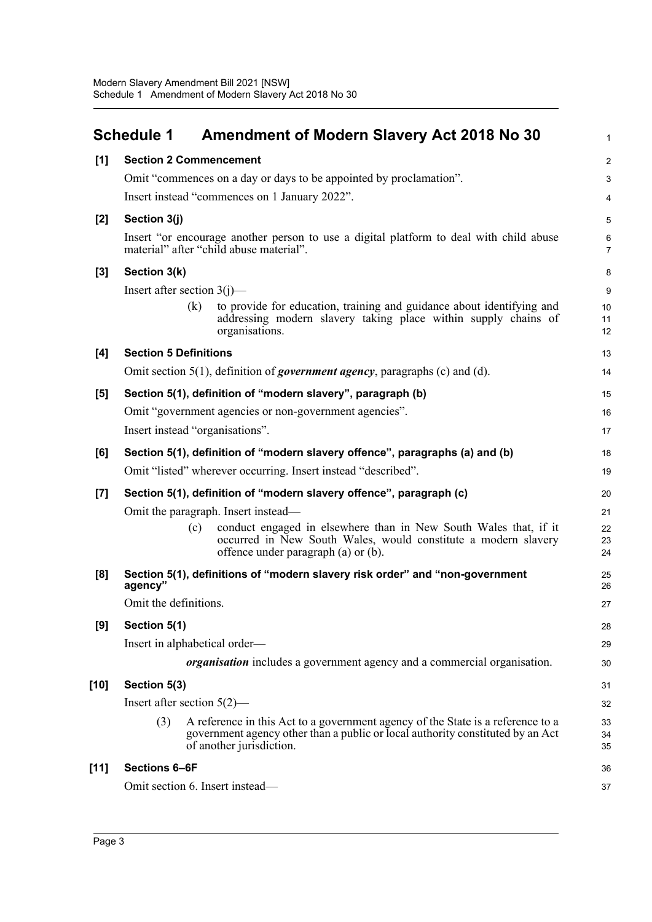<span id="page-3-0"></span>

|        | <b>Schedule 1</b>               |     | <b>Amendment of Modern Slavery Act 2018 No 30</b>                                                                                                                                             | $\mathbf{1}$   |
|--------|---------------------------------|-----|-----------------------------------------------------------------------------------------------------------------------------------------------------------------------------------------------|----------------|
| $[1]$  | <b>Section 2 Commencement</b>   |     |                                                                                                                                                                                               | $\overline{2}$ |
|        |                                 |     | Omit "commences on a day or days to be appointed by proclamation".                                                                                                                            | 3              |
|        |                                 |     | Insert instead "commences on 1 January 2022".                                                                                                                                                 | 4              |
| [2]    | Section 3(j)                    |     |                                                                                                                                                                                               | 5              |
|        |                                 |     | Insert "or encourage another person to use a digital platform to deal with child abuse<br>material" after "child abuse material".                                                             | 6<br>7         |
| $[3]$  | Section 3(k)                    |     |                                                                                                                                                                                               | 8              |
|        | Insert after section $3(j)$ —   |     |                                                                                                                                                                                               | 9              |
|        |                                 | (k) | to provide for education, training and guidance about identifying and<br>addressing modern slavery taking place within supply chains of<br>organisations.                                     | 10<br>11<br>12 |
| [4]    | <b>Section 5 Definitions</b>    |     |                                                                                                                                                                                               | 13             |
|        |                                 |     | Omit section $5(1)$ , definition of <i>government agency</i> , paragraphs (c) and (d).                                                                                                        | 14             |
| [5]    |                                 |     | Section 5(1), definition of "modern slavery", paragraph (b)                                                                                                                                   | 15             |
|        |                                 |     | Omit "government agencies or non-government agencies".                                                                                                                                        | 16             |
|        | Insert instead "organisations". |     |                                                                                                                                                                                               | 17             |
| [6]    |                                 |     | Section 5(1), definition of "modern slavery offence", paragraphs (a) and (b)                                                                                                                  | 18             |
|        |                                 |     | Omit "listed" wherever occurring. Insert instead "described".                                                                                                                                 | 19             |
| [7]    |                                 |     | Section 5(1), definition of "modern slavery offence", paragraph (c)                                                                                                                           | 20             |
|        |                                 |     | Omit the paragraph. Insert instead—                                                                                                                                                           | 21             |
|        |                                 | (c) | conduct engaged in elsewhere than in New South Wales that, if it<br>occurred in New South Wales, would constitute a modern slavery<br>offence under paragraph (a) or (b).                     | 22<br>23<br>24 |
| [8]    | agency"                         |     | Section 5(1), definitions of "modern slavery risk order" and "non-government                                                                                                                  | 25<br>26       |
|        | Omit the definitions.           |     |                                                                                                                                                                                               | 27             |
| [9]    | Section 5(1)                    |     |                                                                                                                                                                                               | 28             |
|        | Insert in alphabetical order—   |     |                                                                                                                                                                                               | 29             |
|        |                                 |     | <i>organisation</i> includes a government agency and a commercial organisation.                                                                                                               | 30             |
| $[10]$ | Section 5(3)                    |     |                                                                                                                                                                                               | 31             |
|        | Insert after section $5(2)$ —   |     |                                                                                                                                                                                               | 32             |
|        | (3)                             |     | A reference in this Act to a government agency of the State is a reference to a<br>government agency other than a public or local authority constituted by an Act<br>of another jurisdiction. | 33<br>34<br>35 |
| $[11]$ | Sections 6-6F                   |     |                                                                                                                                                                                               | 36             |
|        | Omit section 6. Insert instead- |     |                                                                                                                                                                                               | 37             |
|        |                                 |     |                                                                                                                                                                                               |                |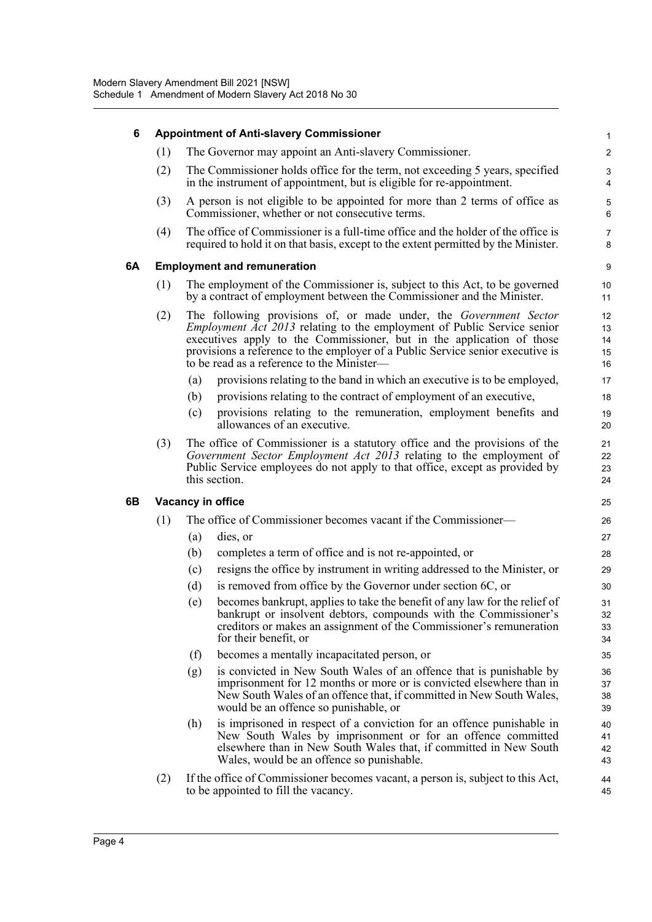| 6  | <b>Appointment of Anti-slavery Commissioner</b>                                                                                                             |                                                                                                                                                                                                                                                                                                                                                              |                            |  |  |  |  |  |  |
|----|-------------------------------------------------------------------------------------------------------------------------------------------------------------|--------------------------------------------------------------------------------------------------------------------------------------------------------------------------------------------------------------------------------------------------------------------------------------------------------------------------------------------------------------|----------------------------|--|--|--|--|--|--|
|    | (1)                                                                                                                                                         | The Governor may appoint an Anti-slavery Commissioner.                                                                                                                                                                                                                                                                                                       | 2                          |  |  |  |  |  |  |
|    | (2)                                                                                                                                                         | The Commissioner holds office for the term, not exceeding 5 years, specified<br>in the instrument of appointment, but is eligible for re-appointment.                                                                                                                                                                                                        | З                          |  |  |  |  |  |  |
|    | (3)                                                                                                                                                         | A person is not eligible to be appointed for more than 2 terms of office as<br>Commissioner, whether or not consecutive terms.                                                                                                                                                                                                                               | 5<br>$\epsilon$            |  |  |  |  |  |  |
|    | (4)                                                                                                                                                         | The office of Commissioner is a full-time office and the holder of the office is<br>required to hold it on that basis, except to the extent permitted by the Minister.                                                                                                                                                                                       | 7<br>ε                     |  |  |  |  |  |  |
| 6A |                                                                                                                                                             | <b>Employment and remuneration</b>                                                                                                                                                                                                                                                                                                                           | ς                          |  |  |  |  |  |  |
|    | (1)<br>The employment of the Commissioner is, subject to this Act, to be governed<br>by a contract of employment between the Commissioner and the Minister. |                                                                                                                                                                                                                                                                                                                                                              |                            |  |  |  |  |  |  |
|    | (2)                                                                                                                                                         | The following provisions of, or made under, the Government Sector<br><i>Employment Act 2013</i> relating to the employment of Public Service senior<br>executives apply to the Commissioner, but in the application of those<br>provisions a reference to the employer of a Public Service senior executive is<br>to be read as a reference to the Minister- | 12<br>13<br>14<br>15<br>16 |  |  |  |  |  |  |
|    |                                                                                                                                                             | provisions relating to the band in which an executive is to be employed,<br>(a)                                                                                                                                                                                                                                                                              | 17                         |  |  |  |  |  |  |
|    |                                                                                                                                                             | provisions relating to the contract of employment of an executive,<br>(b)                                                                                                                                                                                                                                                                                    | 18                         |  |  |  |  |  |  |
|    |                                                                                                                                                             | provisions relating to the remuneration, employment benefits and<br>(c)<br>allowances of an executive.                                                                                                                                                                                                                                                       | 1 <sup>c</sup><br>20       |  |  |  |  |  |  |
|    | (3)                                                                                                                                                         | The office of Commissioner is a statutory office and the provisions of the<br>Government Sector Employment Act 2013 relating to the employment of<br>Public Service employees do not apply to that office, except as provided by<br>this section.                                                                                                            | 21<br>22<br>23<br>24       |  |  |  |  |  |  |
| 6B |                                                                                                                                                             | Vacancy in office                                                                                                                                                                                                                                                                                                                                            | 25                         |  |  |  |  |  |  |
|    | (1)                                                                                                                                                         | The office of Commissioner becomes vacant if the Commissioner—                                                                                                                                                                                                                                                                                               |                            |  |  |  |  |  |  |
|    |                                                                                                                                                             | dies, or<br>(a)                                                                                                                                                                                                                                                                                                                                              | 27                         |  |  |  |  |  |  |
|    |                                                                                                                                                             | completes a term of office and is not re-appointed, or<br>(b)                                                                                                                                                                                                                                                                                                | 28                         |  |  |  |  |  |  |
|    |                                                                                                                                                             | resigns the office by instrument in writing addressed to the Minister, or<br>(c)                                                                                                                                                                                                                                                                             | 29                         |  |  |  |  |  |  |
|    |                                                                                                                                                             | (d)<br>is removed from office by the Governor under section 6C, or                                                                                                                                                                                                                                                                                           | 3 <sub>C</sub>             |  |  |  |  |  |  |
|    |                                                                                                                                                             | becomes bankrupt, applies to take the benefit of any law for the relief of<br>(e)<br>bankrupt or insolvent debtors, compounds with the Commissioner's<br>creditors or makes an assignment of the Commissioner's remuneration<br>for their benefit, or                                                                                                        | 31<br>32<br>33<br>34       |  |  |  |  |  |  |
|    |                                                                                                                                                             | becomes a mentally incapacitated person, or<br>(f)                                                                                                                                                                                                                                                                                                           | 35                         |  |  |  |  |  |  |
|    |                                                                                                                                                             | is convicted in New South Wales of an offence that is punishable by<br>(g)<br>imprisonment for 12 months or more or is convicted elsewhere than in<br>New South Wales of an offence that, if committed in New South Wales,<br>would be an offence so punishable, or                                                                                          | 36<br>37<br>38<br>39       |  |  |  |  |  |  |
|    |                                                                                                                                                             | is imprisoned in respect of a conviction for an offence punishable in<br>(h)<br>New South Wales by imprisonment or for an offence committed<br>elsewhere than in New South Wales that, if committed in New South<br>Wales, would be an offence so punishable.                                                                                                | 40<br>41<br>42<br>43       |  |  |  |  |  |  |
|    | (2)                                                                                                                                                         | If the office of Commissioner becomes vacant, a person is, subject to this Act,<br>to be appointed to fill the vacancy.                                                                                                                                                                                                                                      | 44<br>45                   |  |  |  |  |  |  |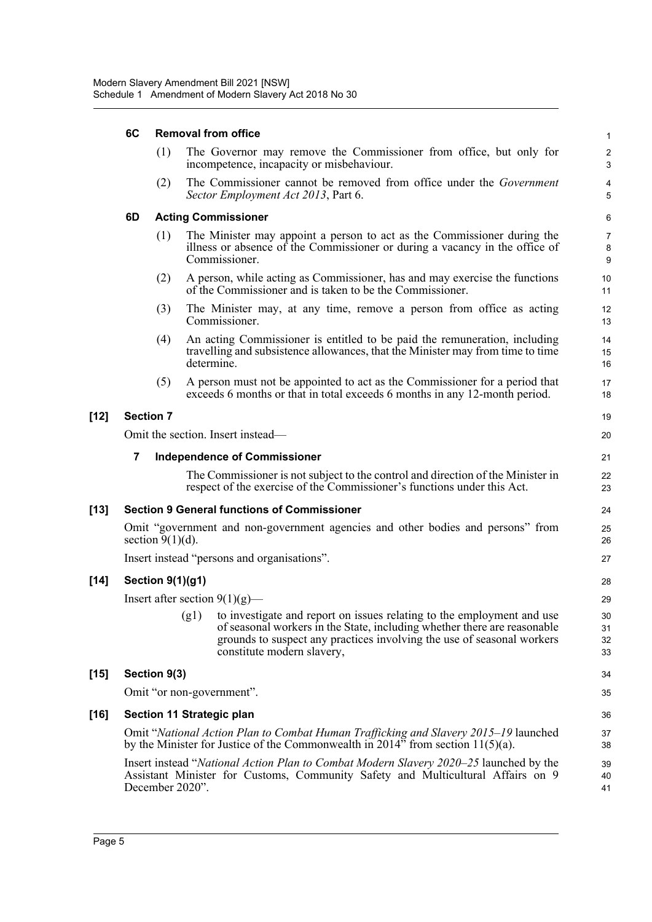|        | 6C               | <b>Removal from office</b> |            |                                                                                                                                                                                                                                                                 |                                |  |  |  |
|--------|------------------|----------------------------|------------|-----------------------------------------------------------------------------------------------------------------------------------------------------------------------------------------------------------------------------------------------------------------|--------------------------------|--|--|--|
|        |                  | (1)                        |            | The Governor may remove the Commissioner from office, but only for<br>incompetence, incapacity or misbehaviour.                                                                                                                                                 | $\overline{c}$<br>3            |  |  |  |
|        |                  | (2)                        |            | The Commissioner cannot be removed from office under the Government<br>Sector Employment Act 2013, Part 6.                                                                                                                                                      | 4<br>5                         |  |  |  |
|        | 6D               |                            |            | <b>Acting Commissioner</b>                                                                                                                                                                                                                                      | $\,6\,$                        |  |  |  |
|        |                  | (1)                        |            | The Minister may appoint a person to act as the Commissioner during the<br>illness or absence of the Commissioner or during a vacancy in the office of<br>Commissioner.                                                                                         | $\overline{7}$<br>$\bf 8$<br>9 |  |  |  |
|        |                  | (2)                        |            | A person, while acting as Commissioner, has and may exercise the functions<br>of the Commissioner and is taken to be the Commissioner.                                                                                                                          | 10<br>11                       |  |  |  |
|        |                  | (3)                        |            | The Minister may, at any time, remove a person from office as acting<br>Commissioner.                                                                                                                                                                           | 12<br>13                       |  |  |  |
|        |                  | (4)                        | determine. | An acting Commissioner is entitled to be paid the remuneration, including<br>travelling and subsistence allowances, that the Minister may from time to time                                                                                                     | 14<br>15<br>16                 |  |  |  |
|        |                  | (5)                        |            | A person must not be appointed to act as the Commissioner for a period that<br>exceeds 6 months or that in total exceeds 6 months in any 12-month period.                                                                                                       | 17<br>18                       |  |  |  |
| $[12]$ | <b>Section 7</b> |                            |            |                                                                                                                                                                                                                                                                 | 19                             |  |  |  |
|        |                  |                            |            | Omit the section. Insert instead—                                                                                                                                                                                                                               | 20                             |  |  |  |
|        | 7                |                            |            | <b>Independence of Commissioner</b>                                                                                                                                                                                                                             | 21                             |  |  |  |
|        |                  |                            |            | The Commissioner is not subject to the control and direction of the Minister in<br>respect of the exercise of the Commissioner's functions under this Act.                                                                                                      | 22<br>23                       |  |  |  |
| $[13]$ |                  |                            |            | <b>Section 9 General functions of Commissioner</b>                                                                                                                                                                                                              | 24                             |  |  |  |
|        |                  | section $9(1)(d)$ .        |            | Omit "government and non-government agencies and other bodies and persons" from                                                                                                                                                                                 | 25<br>26                       |  |  |  |
|        |                  |                            |            | Insert instead "persons and organisations".                                                                                                                                                                                                                     | 27                             |  |  |  |
| $[14]$ |                  | <b>Section 9(1)(g1)</b>    |            |                                                                                                                                                                                                                                                                 | 28                             |  |  |  |
|        |                  |                            |            | Insert after section $9(1)(g)$ —                                                                                                                                                                                                                                | 29                             |  |  |  |
|        |                  |                            |            | (g1) to investigate and report on issues relating to the employment and use<br>of seasonal workers in the State, including whether there are reasonable<br>grounds to suspect any practices involving the use of seasonal workers<br>constitute modern slavery, | 30<br>31<br>32<br>33           |  |  |  |
| $[15]$ |                  | Section 9(3)               |            |                                                                                                                                                                                                                                                                 | 34                             |  |  |  |
|        |                  |                            |            | Omit "or non-government".                                                                                                                                                                                                                                       | 35                             |  |  |  |
| $[16]$ |                  |                            |            | Section 11 Strategic plan                                                                                                                                                                                                                                       | 36                             |  |  |  |
|        |                  |                            |            | Omit "National Action Plan to Combat Human Trafficking and Slavery 2015–19 launched<br>by the Minister for Justice of the Commonwealth in 2014" from section 11(5)(a).                                                                                          | 37<br>38                       |  |  |  |
|        |                  | December 2020".            |            | Insert instead "National Action Plan to Combat Modern Slavery 2020–25 launched by the<br>Assistant Minister for Customs, Community Safety and Multicultural Affairs on 9                                                                                        | 39<br>40<br>41                 |  |  |  |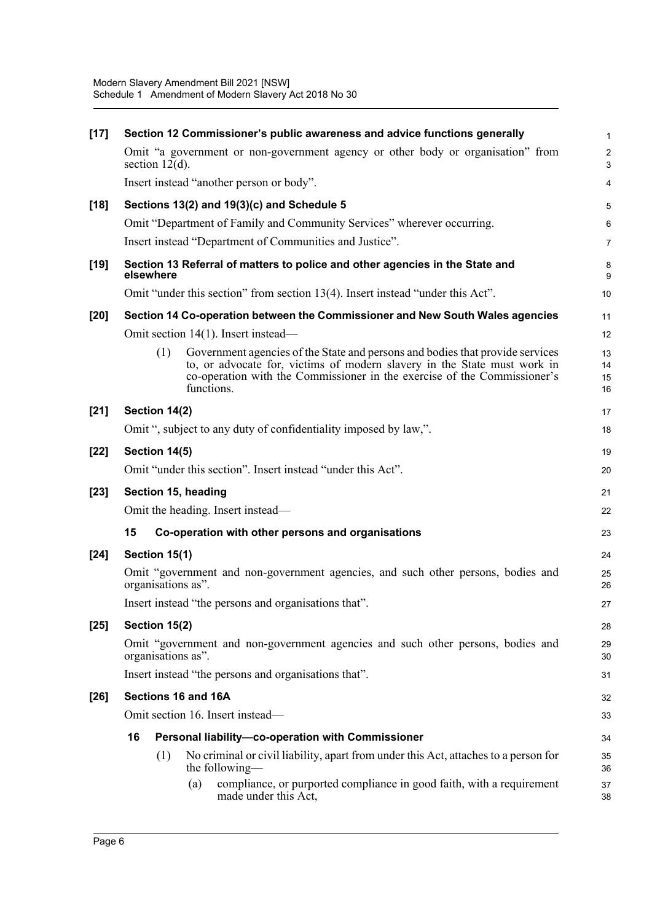| Section 12 Commissioner's public awareness and advice functions generally                                                                                                                                                                                  | $\mathbf{1}$         |
|------------------------------------------------------------------------------------------------------------------------------------------------------------------------------------------------------------------------------------------------------------|----------------------|
| Omit "a government or non-government agency or other body or organisation" from<br>section $12(d)$ .                                                                                                                                                       | $\sqrt{2}$<br>3      |
| Insert instead "another person or body".                                                                                                                                                                                                                   | 4                    |
| Sections 13(2) and 19(3)(c) and Schedule 5                                                                                                                                                                                                                 | 5                    |
| Omit "Department of Family and Community Services" wherever occurring.                                                                                                                                                                                     | 6                    |
| Insert instead "Department of Communities and Justice".                                                                                                                                                                                                    | $\overline{7}$       |
| Section 13 Referral of matters to police and other agencies in the State and<br>elsewhere                                                                                                                                                                  | 8<br>9               |
| Omit "under this section" from section 13(4). Insert instead "under this Act".                                                                                                                                                                             | 10                   |
| Section 14 Co-operation between the Commissioner and New South Wales agencies                                                                                                                                                                              | 11                   |
| Omit section 14(1). Insert instead—                                                                                                                                                                                                                        | 12                   |
| Government agencies of the State and persons and bodies that provide services<br>(1)<br>to, or advocate for, victims of modern slavery in the State must work in<br>co-operation with the Commissioner in the exercise of the Commissioner's<br>functions. | 13<br>14<br>15<br>16 |
| Section 14(2)                                                                                                                                                                                                                                              | 17                   |
| Omit ", subject to any duty of confidentiality imposed by law,".                                                                                                                                                                                           | 18                   |
| Section 14(5)                                                                                                                                                                                                                                              | 19                   |
| Omit "under this section". Insert instead "under this Act".                                                                                                                                                                                                | 20                   |
| Section 15, heading                                                                                                                                                                                                                                        | 21                   |
| Omit the heading. Insert instead—                                                                                                                                                                                                                          | 22                   |
| 15<br>Co-operation with other persons and organisations                                                                                                                                                                                                    | 23                   |
| Section 15(1)                                                                                                                                                                                                                                              | 24                   |
| Omit "government and non-government agencies, and such other persons, bodies and<br>organisations as".                                                                                                                                                     | 25<br>26             |
| Insert instead "the persons and organisations that".                                                                                                                                                                                                       | 27                   |
| Section 15(2)                                                                                                                                                                                                                                              | 28                   |
| Omit "government and non-government agencies and such other persons, bodies and<br>organisations as".                                                                                                                                                      | 29<br>30             |
| Insert instead "the persons and organisations that".                                                                                                                                                                                                       | 31                   |
| Sections 16 and 16A                                                                                                                                                                                                                                        | 32                   |
| Omit section 16. Insert instead-                                                                                                                                                                                                                           | 33                   |
| 16<br>Personal liability-co-operation with Commissioner                                                                                                                                                                                                    | 34                   |
| No criminal or civil liability, apart from under this Act, attaches to a person for<br>(1)<br>the following—                                                                                                                                               | 35<br>36             |
| (a)<br>compliance, or purported compliance in good faith, with a requirement<br>made under this Act,                                                                                                                                                       | 37<br>38             |
|                                                                                                                                                                                                                                                            |                      |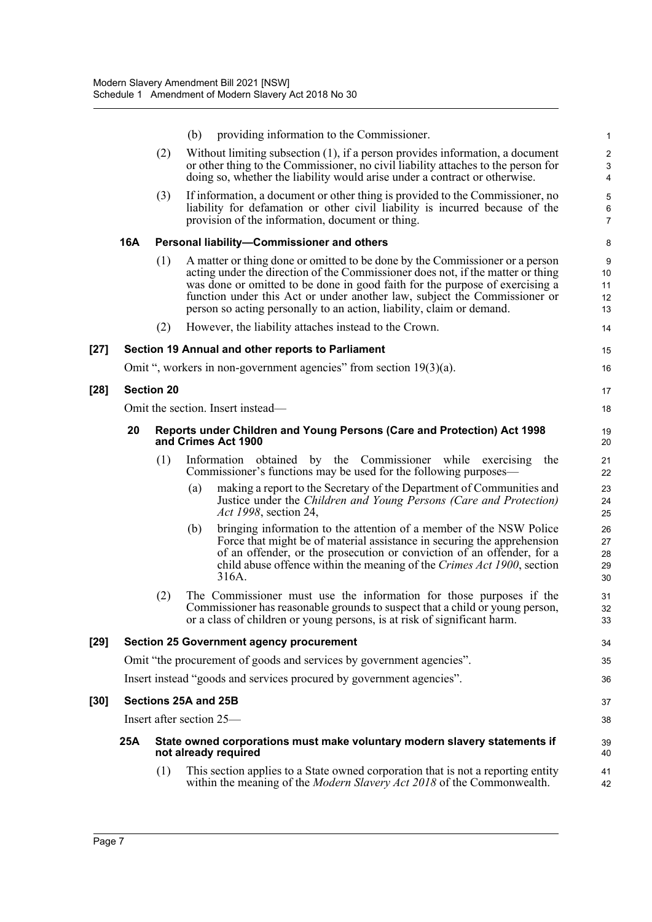|        |            |                   | (b) | providing information to the Commissioner.                                                                                                                                                                                                                                                                                                                                                            | 1                                        |
|--------|------------|-------------------|-----|-------------------------------------------------------------------------------------------------------------------------------------------------------------------------------------------------------------------------------------------------------------------------------------------------------------------------------------------------------------------------------------------------------|------------------------------------------|
|        |            | (2)               |     | Without limiting subsection $(1)$ , if a person provides information, a document<br>or other thing to the Commissioner, no civil liability attaches to the person for<br>doing so, whether the liability would arise under a contract or otherwise.                                                                                                                                                   | 2<br>$\ensuremath{\mathsf{3}}$<br>4      |
|        |            | (3)               |     | If information, a document or other thing is provided to the Commissioner, no<br>liability for defamation or other civil liability is incurred because of the<br>provision of the information, document or thing.                                                                                                                                                                                     | 5<br>6<br>$\overline{7}$                 |
|        | <b>16A</b> |                   |     | Personal liability-Commissioner and others                                                                                                                                                                                                                                                                                                                                                            | 8                                        |
|        |            | (1)               |     | A matter or thing done or omitted to be done by the Commissioner or a person<br>acting under the direction of the Commissioner does not, if the matter or thing<br>was done or omitted to be done in good faith for the purpose of exercising a<br>function under this Act or under another law, subject the Commissioner or<br>person so acting personally to an action, liability, claim or demand. | $\boldsymbol{9}$<br>10<br>11<br>12<br>13 |
|        |            | (2)               |     | However, the liability attaches instead to the Crown.                                                                                                                                                                                                                                                                                                                                                 | 14                                       |
| $[27]$ |            |                   |     | Section 19 Annual and other reports to Parliament                                                                                                                                                                                                                                                                                                                                                     | 15                                       |
|        |            |                   |     | Omit ", workers in non-government agencies" from section $19(3)(a)$ .                                                                                                                                                                                                                                                                                                                                 | 16                                       |
| $[28]$ |            | <b>Section 20</b> |     |                                                                                                                                                                                                                                                                                                                                                                                                       | 17                                       |
|        |            |                   |     | Omit the section. Insert instead—                                                                                                                                                                                                                                                                                                                                                                     | 18                                       |
|        | 20         |                   |     | Reports under Children and Young Persons (Care and Protection) Act 1998<br>and Crimes Act 1900                                                                                                                                                                                                                                                                                                        | 19<br>20                                 |
|        |            | (1)               |     | Information obtained by the Commissioner while<br>exercising<br>the<br>Commissioner's functions may be used for the following purposes—                                                                                                                                                                                                                                                               | 21<br>22                                 |
|        |            |                   | (a) | making a report to the Secretary of the Department of Communities and<br>Justice under the Children and Young Persons (Care and Protection)<br><i>Act 1998</i> , section 24,                                                                                                                                                                                                                          | 23<br>24<br>25                           |
|        |            |                   | (b) | bringing information to the attention of a member of the NSW Police<br>Force that might be of material assistance in securing the apprehension<br>of an offender, or the prosecution or conviction of an offender, for a<br>child abuse offence within the meaning of the Crimes Act 1900, section<br>316A.                                                                                           | 26<br>27<br>28<br>29<br>30               |
|        |            | (2)               |     | The Commissioner must use the information for those purposes if the<br>Commissioner has reasonable grounds to suspect that a child or young person,<br>or a class of children or young persons, is at risk of significant harm.                                                                                                                                                                       | 31<br>32<br>33                           |
| $[29]$ |            |                   |     | <b>Section 25 Government agency procurement</b>                                                                                                                                                                                                                                                                                                                                                       | 34                                       |
|        |            |                   |     | Omit "the procurement of goods and services by government agencies".                                                                                                                                                                                                                                                                                                                                  | 35                                       |
|        |            |                   |     | Insert instead "goods and services procured by government agencies".                                                                                                                                                                                                                                                                                                                                  | 36                                       |
| $[30]$ |            |                   |     | Sections 25A and 25B                                                                                                                                                                                                                                                                                                                                                                                  | 37                                       |
|        |            |                   |     | Insert after section 25—                                                                                                                                                                                                                                                                                                                                                                              | 38                                       |
|        | 25A        |                   |     | State owned corporations must make voluntary modern slavery statements if<br>not already required                                                                                                                                                                                                                                                                                                     | 39<br>40                                 |
|        |            | (1)               |     | This section applies to a State owned corporation that is not a reporting entity<br>within the meaning of the Modern Slavery Act 2018 of the Commonwealth.                                                                                                                                                                                                                                            | 41<br>42                                 |
|        |            |                   |     |                                                                                                                                                                                                                                                                                                                                                                                                       |                                          |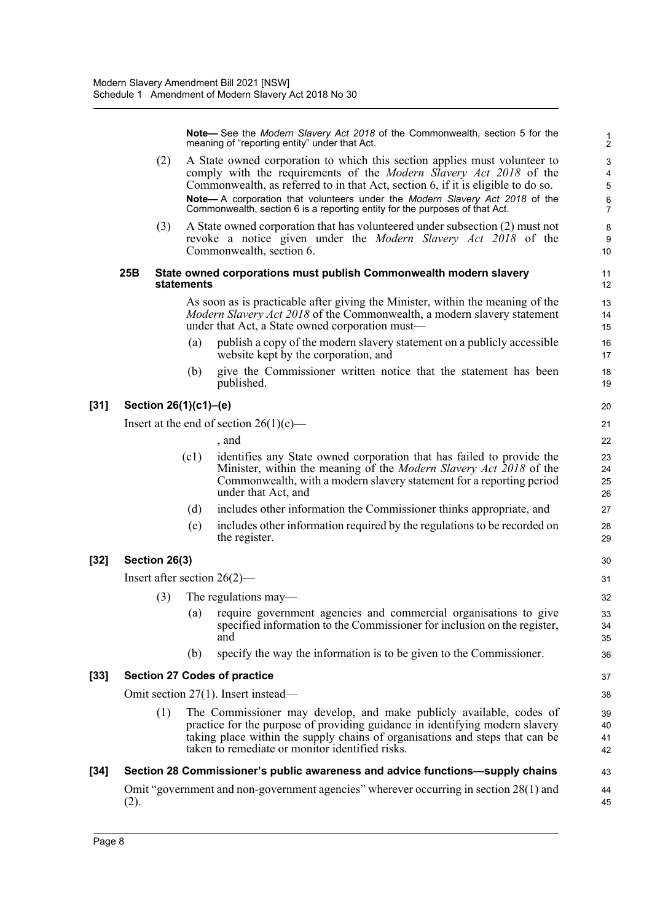**Note—** See the *Modern Slavery Act 2018* of the Commonwealth, section 5 for the meaning of "reporting entity" under that Act.

- (2) A State owned corporation to which this section applies must volunteer to comply with the requirements of the *Modern Slavery Act 2018* of the Commonwealth, as referred to in that Act, section 6, if it is eligible to do so. **Note—** A corporation that volunteers under the *Modern Slavery Act 2018* of the Commonwealth, section 6 is a reporting entity for the purposes of that Act.
- (3) A State owned corporation that has volunteered under subsection (2) must not revoke a notice given under the *Modern Slavery Act 2018* of the Commonwealth, section 6.

#### **25B State owned corporations must publish Commonwealth modern slavery statements**

As soon as is practicable after giving the Minister, within the meaning of the *Modern Slavery Act 2018* of the Commonwealth, a modern slavery statement under that Act, a State owned corporation must—

- (a) publish a copy of the modern slavery statement on a publicly accessible website kept by the corporation, and
- (b) give the Commissioner written notice that the statement has been published.

#### **[31] Section 26(1)(c1)–(e)**

[32] Section

Insert at the end of section  $26(1)(c)$ —

|       | the end of section $26(1)(c)$ —                                                                                                                                                                                                                   | 21                   |
|-------|---------------------------------------------------------------------------------------------------------------------------------------------------------------------------------------------------------------------------------------------------|----------------------|
|       | , and                                                                                                                                                                                                                                             | 22                   |
| (c1)  | identifies any State owned corporation that has failed to provide the<br>Minister, within the meaning of the <i>Modern Slavery Act 2018</i> of the<br>Commonwealth, with a modern slavery statement for a reporting period<br>under that Act, and | 23<br>24<br>25<br>26 |
| (d)   | includes other information the Commissioner thinks appropriate, and                                                                                                                                                                               | 27                   |
| (e)   | includes other information required by the regulations to be recorded on<br>the register.                                                                                                                                                         | 28<br>29             |
| 26(3) |                                                                                                                                                                                                                                                   | 30                   |
|       | er section $26(2)$ —                                                                                                                                                                                                                              | 31                   |

- Insert aft
	- (3) The regulations may— (a) require government agencies and commercial organisations to give specified information to the Commissioner for inclusion on the register, and
		- (b) specify the way the information is to be given to the Commissioner.

#### **[33] Section 27 Codes of practice**

Omit section 27(1). Insert instead—

(1) The Commissioner may develop, and make publicly available, codes of practice for the purpose of providing guidance in identifying modern slavery taking place within the supply chains of organisations and steps that can be taken to remediate or monitor identified risks.

#### **[34] Section 28 Commissioner's public awareness and advice functions—supply chains** Omit "government and non-government agencies" wherever occurring in section 28(1) and (2). 43 44 45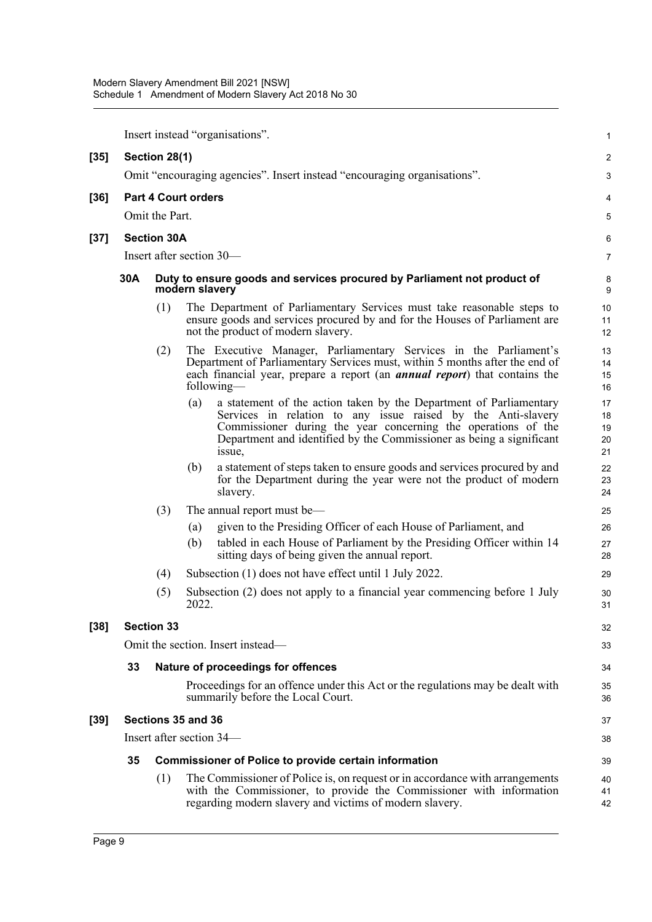|        |                   |                    |                            | Insert instead "organisations".                                                                                                                                                                                                                                                       | 1                          |  |
|--------|-------------------|--------------------|----------------------------|---------------------------------------------------------------------------------------------------------------------------------------------------------------------------------------------------------------------------------------------------------------------------------------|----------------------------|--|
| $[35]$ |                   | Section 28(1)      |                            |                                                                                                                                                                                                                                                                                       | 2                          |  |
|        |                   |                    |                            | Omit "encouraging agencies". Insert instead "encouraging organisations".                                                                                                                                                                                                              | 3                          |  |
| $[36]$ |                   |                    | <b>Part 4 Court orders</b> |                                                                                                                                                                                                                                                                                       | 4                          |  |
|        |                   | Omit the Part.     |                            |                                                                                                                                                                                                                                                                                       | 5                          |  |
| $[37]$ |                   | <b>Section 30A</b> |                            |                                                                                                                                                                                                                                                                                       | 6                          |  |
|        |                   |                    |                            | Insert after section 30—                                                                                                                                                                                                                                                              | 7                          |  |
|        | 30A               |                    | modern slavery             | Duty to ensure goods and services procured by Parliament not product of                                                                                                                                                                                                               | 8<br>9                     |  |
|        |                   | (1)                |                            | The Department of Parliamentary Services must take reasonable steps to<br>ensure goods and services procured by and for the Houses of Parliament are<br>not the product of modern slavery.                                                                                            | 10<br>11<br>12             |  |
|        |                   | (2)                |                            | The Executive Manager, Parliamentary Services in the Parliament's<br>Department of Parliamentary Services must, within 5 months after the end of<br>each financial year, prepare a report (an <i>annual report</i> ) that contains the<br>following-                                  | 13<br>14<br>15<br>16       |  |
|        |                   |                    | (a)                        | a statement of the action taken by the Department of Parliamentary<br>Services in relation to any issue raised by the Anti-slavery<br>Commissioner during the year concerning the operations of the<br>Department and identified by the Commissioner as being a significant<br>issue, | 17<br>18<br>19<br>20<br>21 |  |
|        |                   |                    | (b)                        | a statement of steps taken to ensure goods and services procured by and<br>for the Department during the year were not the product of modern<br>slavery.                                                                                                                              | 22<br>23<br>24             |  |
|        |                   | (3)                |                            | The annual report must be-                                                                                                                                                                                                                                                            | 25                         |  |
|        |                   |                    | (a)                        | given to the Presiding Officer of each House of Parliament, and                                                                                                                                                                                                                       | 26                         |  |
|        |                   |                    | (b)                        | tabled in each House of Parliament by the Presiding Officer within 14<br>sitting days of being given the annual report.                                                                                                                                                               | 27<br>28                   |  |
|        |                   | (4)                |                            | Subsection (1) does not have effect until 1 July 2022.                                                                                                                                                                                                                                | 29                         |  |
|        |                   | (5)                | 2022.                      | Subsection (2) does not apply to a financial year commencing before 1 July                                                                                                                                                                                                            | 30<br>31                   |  |
| $[38]$ | <b>Section 33</b> |                    |                            |                                                                                                                                                                                                                                                                                       |                            |  |
|        |                   |                    |                            | Omit the section. Insert instead—                                                                                                                                                                                                                                                     | 33                         |  |
|        | 33                |                    |                            | Nature of proceedings for offences                                                                                                                                                                                                                                                    | 34                         |  |
|        |                   |                    |                            | Proceedings for an offence under this Act or the regulations may be dealt with<br>summarily before the Local Court.                                                                                                                                                                   | 35<br>36                   |  |
| $[39]$ |                   |                    | Sections 35 and 36         |                                                                                                                                                                                                                                                                                       | 37                         |  |
|        |                   |                    |                            | Insert after section 34—                                                                                                                                                                                                                                                              | 38                         |  |
|        | 35                |                    |                            | <b>Commissioner of Police to provide certain information</b>                                                                                                                                                                                                                          | 39                         |  |
|        |                   | (1)                |                            | The Commissioner of Police is, on request or in accordance with arrangements<br>with the Commissioner, to provide the Commissioner with information<br>regarding modern slavery and victims of modern slavery.                                                                        | 40<br>41<br>42             |  |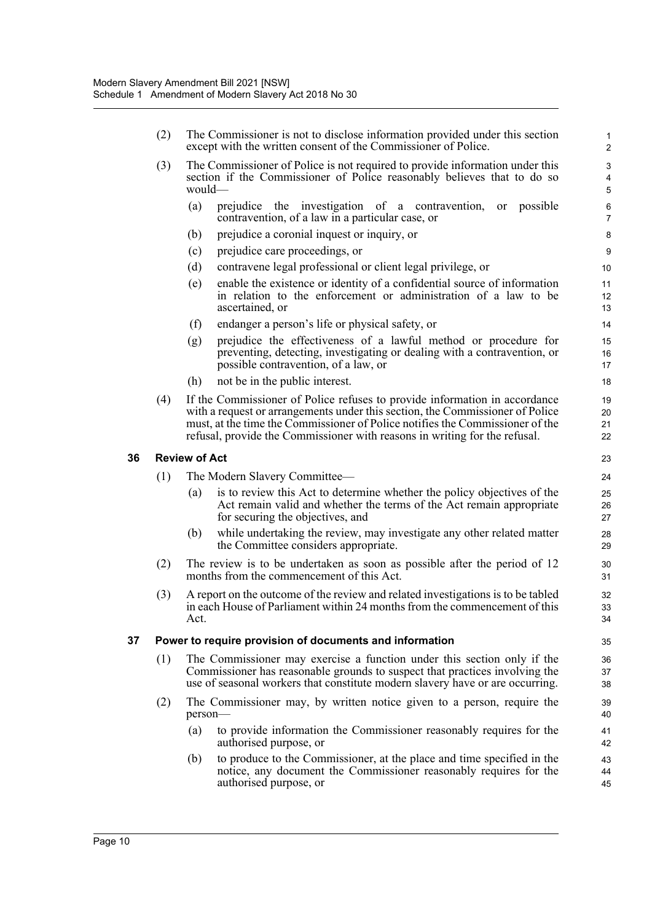|    | (2)<br>The Commissioner is not to disclose information provided under this section<br>except with the written consent of the Commissioner of Police. |                      |                                                                                                                                                                                                                                                                                                                            |                      |
|----|------------------------------------------------------------------------------------------------------------------------------------------------------|----------------------|----------------------------------------------------------------------------------------------------------------------------------------------------------------------------------------------------------------------------------------------------------------------------------------------------------------------------|----------------------|
|    | (3)                                                                                                                                                  | would—               | The Commissioner of Police is not required to provide information under this<br>section if the Commissioner of Police reasonably believes that to do so                                                                                                                                                                    | 3<br>4<br>5          |
|    |                                                                                                                                                      | (a)                  | prejudice the investigation of a contravention,<br>or possible<br>contravention, of a law in a particular case, or                                                                                                                                                                                                         | 6<br>$\overline{7}$  |
|    |                                                                                                                                                      | (b)                  | prejudice a coronial inquest or inquiry, or                                                                                                                                                                                                                                                                                | 8                    |
|    |                                                                                                                                                      | (c)                  | prejudice care proceedings, or                                                                                                                                                                                                                                                                                             | 9                    |
|    |                                                                                                                                                      | (d)                  | contravene legal professional or client legal privilege, or                                                                                                                                                                                                                                                                | 10                   |
|    |                                                                                                                                                      | (e)                  | enable the existence or identity of a confidential source of information<br>in relation to the enforcement or administration of a law to be<br>ascertained, or                                                                                                                                                             | 11<br>12<br>13       |
|    |                                                                                                                                                      | (f)                  | endanger a person's life or physical safety, or                                                                                                                                                                                                                                                                            | 14                   |
|    |                                                                                                                                                      | (g)                  | prejudice the effectiveness of a lawful method or procedure for<br>preventing, detecting, investigating or dealing with a contravention, or<br>possible contravention, of a law, or                                                                                                                                        | 15<br>16<br>17       |
|    |                                                                                                                                                      | (h)                  | not be in the public interest.                                                                                                                                                                                                                                                                                             | 18                   |
|    | (4)                                                                                                                                                  |                      | If the Commissioner of Police refuses to provide information in accordance<br>with a request or arrangements under this section, the Commissioner of Police<br>must, at the time the Commissioner of Police notifies the Commissioner of the<br>refusal, provide the Commissioner with reasons in writing for the refusal. | 19<br>20<br>21<br>22 |
| 36 |                                                                                                                                                      | <b>Review of Act</b> |                                                                                                                                                                                                                                                                                                                            | 23                   |
|    | (1)                                                                                                                                                  |                      | The Modern Slavery Committee—                                                                                                                                                                                                                                                                                              | 24                   |
|    |                                                                                                                                                      | (a)                  | is to review this Act to determine whether the policy objectives of the<br>Act remain valid and whether the terms of the Act remain appropriate<br>for securing the objectives, and                                                                                                                                        | 25<br>26<br>27       |
|    |                                                                                                                                                      | (b)                  | while undertaking the review, may investigate any other related matter<br>the Committee considers appropriate.                                                                                                                                                                                                             | 28<br>29             |
|    | (2)                                                                                                                                                  |                      | The review is to be undertaken as soon as possible after the period of 12<br>months from the commencement of this Act.                                                                                                                                                                                                     | 30<br>31             |
|    | (3)                                                                                                                                                  | Act.                 | A report on the outcome of the review and related investigations is to be tabled<br>in each House of Parliament within 24 months from the commencement of this                                                                                                                                                             | 32<br>33<br>34       |
| 37 |                                                                                                                                                      |                      | Power to require provision of documents and information                                                                                                                                                                                                                                                                    | 35                   |
|    | (1)                                                                                                                                                  |                      | The Commissioner may exercise a function under this section only if the<br>Commissioner has reasonable grounds to suspect that practices involving the<br>use of seasonal workers that constitute modern slavery have or are occurring.                                                                                    | 36<br>37<br>38       |
|    | (2)                                                                                                                                                  | person-              | The Commissioner may, by written notice given to a person, require the                                                                                                                                                                                                                                                     | 39<br>40             |
|    |                                                                                                                                                      | (a)                  | to provide information the Commissioner reasonably requires for the<br>authorised purpose, or                                                                                                                                                                                                                              | 41<br>42             |
|    |                                                                                                                                                      | (b)                  | to produce to the Commissioner, at the place and time specified in the<br>notice, any document the Commissioner reasonably requires for the<br>authorised purpose, or                                                                                                                                                      | 43<br>44<br>45       |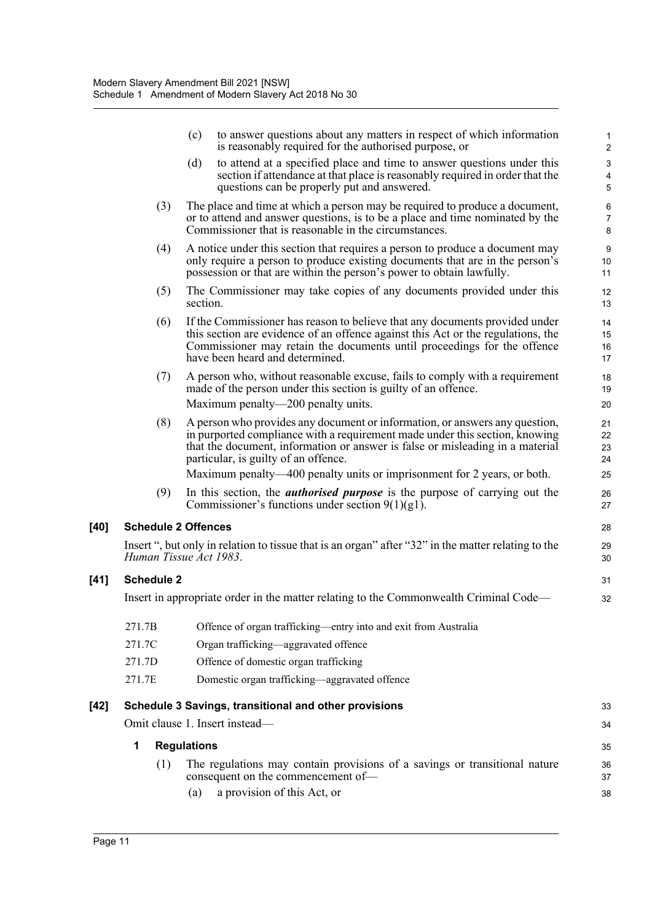|      |                            | (c)<br>to answer questions about any matters in respect of which information<br>is reasonably required for the authorised purpose, or                                                                                                                                               | 1<br>$\overline{\mathbf{c}}$ |
|------|----------------------------|-------------------------------------------------------------------------------------------------------------------------------------------------------------------------------------------------------------------------------------------------------------------------------------|------------------------------|
|      |                            | to attend at a specified place and time to answer questions under this<br>(d)<br>section if attendance at that place is reasonably required in order that the<br>questions can be properly put and answered.                                                                        | 3<br>4<br>5                  |
|      | (3)                        | The place and time at which a person may be required to produce a document,<br>or to attend and answer questions, is to be a place and time nominated by the<br>Commissioner that is reasonable in the circumstances.                                                               | 6<br>7<br>8                  |
|      | (4)                        | A notice under this section that requires a person to produce a document may<br>only require a person to produce existing documents that are in the person's<br>possession or that are within the person's power to obtain lawfully.                                                | 9<br>10<br>11                |
|      | (5)                        | The Commissioner may take copies of any documents provided under this<br>section.                                                                                                                                                                                                   | 12<br>13                     |
|      | (6)                        | If the Commissioner has reason to believe that any documents provided under<br>this section are evidence of an offence against this Act or the regulations, the<br>Commissioner may retain the documents until proceedings for the offence<br>have been heard and determined.       | 14<br>15<br>16<br>17         |
|      | (7)                        | A person who, without reasonable excuse, fails to comply with a requirement<br>made of the person under this section is guilty of an offence.<br>Maximum penalty—200 penalty units.                                                                                                 | 18<br>19<br>20               |
|      | (8)                        | A person who provides any document or information, or answers any question,<br>in purported compliance with a requirement made under this section, knowing<br>that the document, information or answer is false or misleading in a material<br>particular, is guilty of an offence. | 21<br>22<br>23<br>24         |
|      |                            | Maximum penalty—400 penalty units or imprisonment for 2 years, or both.                                                                                                                                                                                                             | 25                           |
|      | (9)                        | In this section, the <i>authorised purpose</i> is the purpose of carrying out the<br>Commissioner's functions under section $9(1)(g1)$ .                                                                                                                                            | 26<br>27                     |
| [40] | <b>Schedule 2 Offences</b> |                                                                                                                                                                                                                                                                                     | 28                           |
|      |                            | Insert ", but only in relation to tissue that is an organ" after "32" in the matter relating to the<br>Human Tissue Act 1983.                                                                                                                                                       | 29<br>30                     |
| [41] | <b>Schedule 2</b>          |                                                                                                                                                                                                                                                                                     | 31                           |
|      |                            | Insert in appropriate order in the matter relating to the Commonwealth Criminal Code—                                                                                                                                                                                               | 32                           |
|      | 271.7B                     | Offence of organ trafficking—entry into and exit from Australia                                                                                                                                                                                                                     |                              |
|      | 271.7C                     | Organ trafficking-aggravated offence                                                                                                                                                                                                                                                |                              |
|      | 271.7D                     | Offence of domestic organ trafficking                                                                                                                                                                                                                                               |                              |
|      | 271.7E                     | Domestic organ trafficking—aggravated offence                                                                                                                                                                                                                                       |                              |
| [42] |                            | Schedule 3 Savings, transitional and other provisions                                                                                                                                                                                                                               | 33                           |
|      |                            | Omit clause 1. Insert instead-                                                                                                                                                                                                                                                      | 34                           |
|      | 1                          | <b>Regulations</b>                                                                                                                                                                                                                                                                  | 35                           |
|      | (1)                        | The regulations may contain provisions of a savings or transitional nature<br>consequent on the commencement of-                                                                                                                                                                    | 36<br>37                     |
|      |                            | a provision of this Act, or<br>(a)                                                                                                                                                                                                                                                  | 38                           |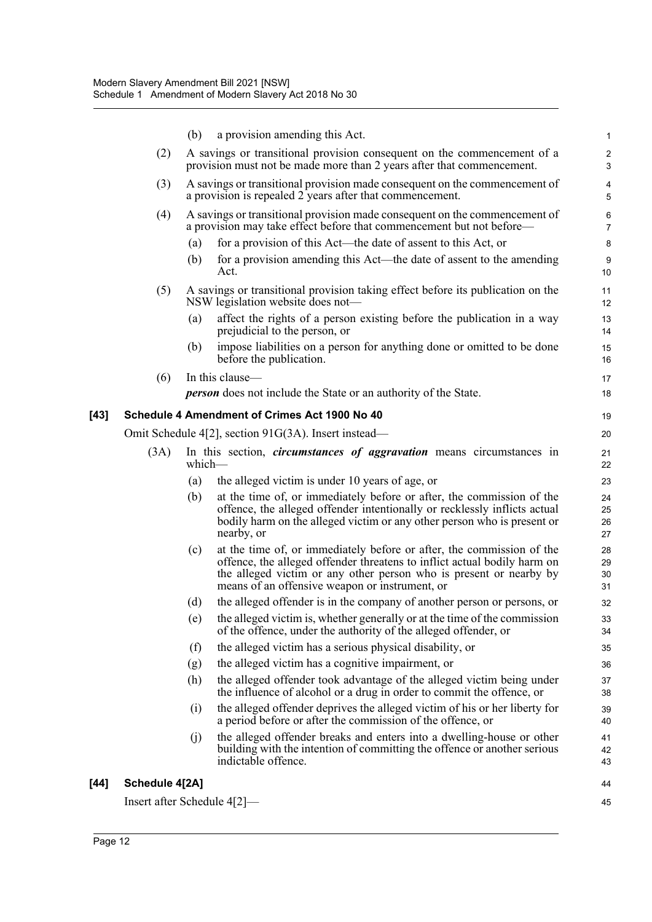|      |                                | (b)    | a provision amending this Act.                                                                                                                                                                                                                                            | $\mathbf{1}$         |
|------|--------------------------------|--------|---------------------------------------------------------------------------------------------------------------------------------------------------------------------------------------------------------------------------------------------------------------------------|----------------------|
|      | (2)                            |        | A savings or transitional provision consequent on the commencement of a<br>provision must not be made more than 2 years after that commencement.                                                                                                                          | 2<br>3               |
|      | (3)                            |        | A savings or transitional provision made consequent on the commencement of<br>a provision is repealed 2 years after that commencement.                                                                                                                                    | 4<br>5               |
|      | (4)                            |        | A savings or transitional provision made consequent on the commencement of<br>a provision may take effect before that commencement but not before—                                                                                                                        | 6<br>$\overline{7}$  |
|      |                                | (a)    | for a provision of this Act—the date of assent to this Act, or                                                                                                                                                                                                            | 8                    |
|      |                                | (b)    | for a provision amending this Act—the date of assent to the amending<br>Act.                                                                                                                                                                                              | $9\,$<br>10          |
|      | (5)                            |        | A savings or transitional provision taking effect before its publication on the<br>NSW legislation website does not—                                                                                                                                                      | 11<br>12             |
|      |                                | (a)    | affect the rights of a person existing before the publication in a way<br>prejudicial to the person, or                                                                                                                                                                   | 13<br>14             |
|      |                                | (b)    | impose liabilities on a person for anything done or omitted to be done<br>before the publication.                                                                                                                                                                         | 15<br>16             |
|      | (6)                            |        | In this clause-                                                                                                                                                                                                                                                           | 17                   |
|      |                                |        | <b>person</b> does not include the State or an authority of the State.                                                                                                                                                                                                    | 18                   |
| [43] |                                |        | Schedule 4 Amendment of Crimes Act 1900 No 40                                                                                                                                                                                                                             | 19                   |
|      |                                |        | Omit Schedule 4[2], section 91G(3A). Insert instead—                                                                                                                                                                                                                      | 20                   |
|      | (3A)                           | which— | In this section, <i>circumstances</i> of aggravation means circumstances in                                                                                                                                                                                               | 21<br>22             |
|      |                                | (a)    | the alleged victim is under 10 years of age, or                                                                                                                                                                                                                           | 23                   |
|      |                                | (b)    | at the time of, or immediately before or after, the commission of the<br>offence, the alleged offender intentionally or recklessly inflicts actual<br>bodily harm on the alleged victim or any other person who is present or<br>nearby, or                               | 24<br>25<br>26<br>27 |
|      |                                | (c)    | at the time of, or immediately before or after, the commission of the<br>offence, the alleged offender threatens to inflict actual bodily harm on<br>the alleged victim or any other person who is present or nearby by<br>means of an offensive weapon or instrument, or | 28<br>29<br>30<br>31 |
|      |                                | (d)    | the alleged offender is in the company of another person or persons, or                                                                                                                                                                                                   | 32                   |
|      |                                |        | (e) the alleged victim is, whether generally or at the time of the commission<br>of the offence, under the authority of the alleged offender, or                                                                                                                          | 33<br>34             |
|      |                                | (f)    | the alleged victim has a serious physical disability, or                                                                                                                                                                                                                  | 35                   |
|      |                                | (g)    | the alleged victim has a cognitive impairment, or                                                                                                                                                                                                                         | 36                   |
|      |                                | (h)    | the alleged offender took advantage of the alleged victim being under<br>the influence of alcohol or a drug in order to commit the offence, or                                                                                                                            | 37<br>38             |
|      |                                | (i)    | the alleged offender deprives the alleged victim of his or her liberty for<br>a period before or after the commission of the offence, or                                                                                                                                  | 39<br>40             |
|      |                                | (j)    | the alleged offender breaks and enters into a dwelling-house or other<br>building with the intention of committing the offence or another serious<br>indictable offence.                                                                                                  | 41<br>42<br>43       |
| [44] | Schedule 4[2A]                 |        |                                                                                                                                                                                                                                                                           | 44                   |
|      | Insert after Schedule $4[2]$ — |        |                                                                                                                                                                                                                                                                           | 45                   |
|      |                                |        |                                                                                                                                                                                                                                                                           |                      |

[44]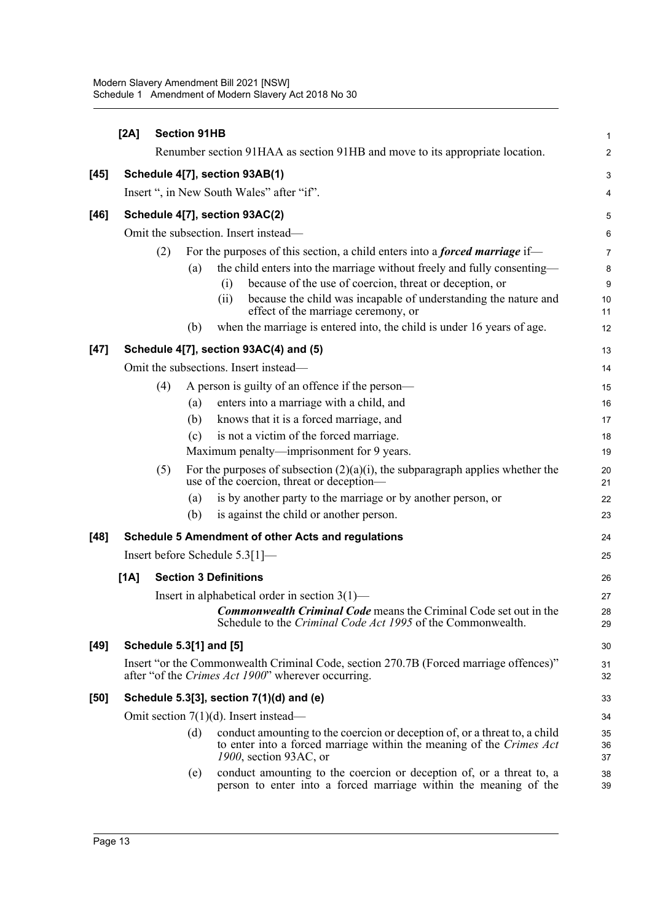|        | [2A]                           | <b>Section 91HB</b> |     |                                                                                                                                                                                                                      | 1                       |  |  |  |
|--------|--------------------------------|---------------------|-----|----------------------------------------------------------------------------------------------------------------------------------------------------------------------------------------------------------------------|-------------------------|--|--|--|
|        |                                |                     |     | Renumber section 91HAA as section 91HB and move to its appropriate location.                                                                                                                                         | $\overline{c}$          |  |  |  |
| $[45]$ | Schedule 4[7], section 93AB(1) |                     |     |                                                                                                                                                                                                                      |                         |  |  |  |
|        |                                |                     |     | Insert ", in New South Wales" after "if".                                                                                                                                                                            | $\overline{\mathbf{4}}$ |  |  |  |
| $[46]$ |                                |                     |     | Schedule 4[7], section 93AC(2)                                                                                                                                                                                       | 5                       |  |  |  |
|        |                                |                     |     | Omit the subsection. Insert instead—                                                                                                                                                                                 | 6                       |  |  |  |
|        |                                | (2)                 |     | For the purposes of this section, a child enters into a <i>forced marriage</i> if—                                                                                                                                   | $\overline{7}$          |  |  |  |
|        |                                |                     | (a) | the child enters into the marriage without freely and fully consenting—<br>because of the use of coercion, threat or deception, or<br>(i)<br>because the child was incapable of understanding the nature and<br>(ii) | 8<br>9<br>10            |  |  |  |
|        |                                |                     | (b) | effect of the marriage ceremony, or<br>when the marriage is entered into, the child is under 16 years of age.                                                                                                        | 11<br>12                |  |  |  |
| $[47]$ |                                |                     |     | Schedule 4[7], section 93AC(4) and (5)                                                                                                                                                                               | 13                      |  |  |  |
|        |                                |                     |     | Omit the subsections. Insert instead-                                                                                                                                                                                | 14                      |  |  |  |
|        |                                | (4)                 |     | A person is guilty of an offence if the person—                                                                                                                                                                      | 15                      |  |  |  |
|        |                                |                     | (a) | enters into a marriage with a child, and                                                                                                                                                                             | 16                      |  |  |  |
|        |                                |                     | (b) | knows that it is a forced marriage, and                                                                                                                                                                              | 17                      |  |  |  |
|        |                                |                     | (c) | is not a victim of the forced marriage.                                                                                                                                                                              | 18                      |  |  |  |
|        |                                |                     |     | Maximum penalty—imprisonment for 9 years.                                                                                                                                                                            | 19                      |  |  |  |
|        |                                | (5)                 |     | For the purposes of subsection $(2)(a)(i)$ , the subparagraph applies whether the<br>use of the coercion, threat or deception—                                                                                       | 20<br>21                |  |  |  |
|        |                                |                     | (a) | is by another party to the marriage or by another person, or                                                                                                                                                         | 22                      |  |  |  |
|        |                                |                     | (b) | is against the child or another person.                                                                                                                                                                              | 23                      |  |  |  |
| $[48]$ |                                |                     |     | <b>Schedule 5 Amendment of other Acts and regulations</b>                                                                                                                                                            | 24                      |  |  |  |
|        |                                |                     |     | Insert before Schedule 5.3[1]—                                                                                                                                                                                       | 25                      |  |  |  |
|        | [1A]                           |                     |     | <b>Section 3 Definitions</b>                                                                                                                                                                                         | 26                      |  |  |  |
|        |                                |                     |     | Insert in alphabetical order in section $3(1)$ —                                                                                                                                                                     | 27                      |  |  |  |
|        |                                |                     |     | <b>Commonwealth Criminal Code</b> means the Criminal Code set out in the<br>Schedule to the Criminal Code Act 1995 of the Commonwealth.                                                                              | 28<br>29                |  |  |  |
| $[49]$ |                                |                     |     | Schedule 5.3[1] and [5]                                                                                                                                                                                              | 30                      |  |  |  |
|        |                                |                     |     | Insert "or the Commonwealth Criminal Code, section 270.7B (Forced marriage offences)"<br>after "of the Crimes Act 1900" wherever occurring.                                                                          | 31<br>32                |  |  |  |
| [50]   |                                |                     |     | Schedule 5.3[3], section $7(1)(d)$ and (e)                                                                                                                                                                           | 33                      |  |  |  |
|        |                                |                     |     | Omit section $7(1)(d)$ . Insert instead—                                                                                                                                                                             | 34                      |  |  |  |
|        |                                |                     | (d) | conduct amounting to the coercion or deception of, or a threat to, a child<br>to enter into a forced marriage within the meaning of the Crimes Act<br>1900, section 93AC, or                                         | 35<br>36<br>37          |  |  |  |
|        |                                |                     | (e) | conduct amounting to the coercion or deception of, or a threat to, a<br>person to enter into a forced marriage within the meaning of the                                                                             | 38<br>39                |  |  |  |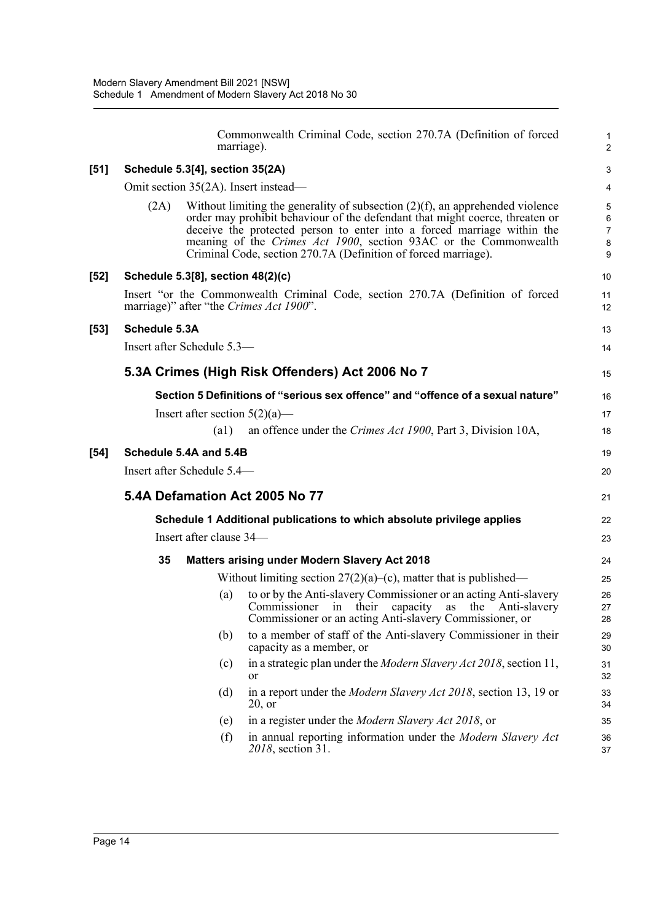|      |                                                                                 |                                   | Commonwealth Criminal Code, section 270.7A (Definition of forced<br>marriage).                                                                                                                                                                                                                                                                                                    | $\mathbf{1}$<br>2                        |  |  |  |  |  |
|------|---------------------------------------------------------------------------------|-----------------------------------|-----------------------------------------------------------------------------------------------------------------------------------------------------------------------------------------------------------------------------------------------------------------------------------------------------------------------------------------------------------------------------------|------------------------------------------|--|--|--|--|--|
| [51] |                                                                                 | Schedule 5.3[4], section 35(2A)   |                                                                                                                                                                                                                                                                                                                                                                                   | 3                                        |  |  |  |  |  |
|      | Omit section 35(2A). Insert instead—                                            |                                   |                                                                                                                                                                                                                                                                                                                                                                                   |                                          |  |  |  |  |  |
|      | (2A)                                                                            |                                   | Without limiting the generality of subsection $(2)(f)$ , an apprehended violence<br>order may prohibit behaviour of the defendant that might coerce, threaten or<br>deceive the protected person to enter into a forced marriage within the<br>meaning of the Crimes Act 1900, section 93AC or the Commonwealth<br>Criminal Code, section 270.7A (Definition of forced marriage). | 5<br>6<br>$\overline{7}$<br>$\bf 8$<br>9 |  |  |  |  |  |
| [52] |                                                                                 | Schedule 5.3[8], section 48(2)(c) |                                                                                                                                                                                                                                                                                                                                                                                   | 10                                       |  |  |  |  |  |
|      |                                                                                 |                                   | Insert "or the Commonwealth Criminal Code, section 270.7A (Definition of forced<br>marriage)" after "the Crimes Act 1900".                                                                                                                                                                                                                                                        | 11<br>12                                 |  |  |  |  |  |
| [53] | Schedule 5.3A                                                                   |                                   |                                                                                                                                                                                                                                                                                                                                                                                   |                                          |  |  |  |  |  |
|      | Insert after Schedule 5.3-                                                      |                                   |                                                                                                                                                                                                                                                                                                                                                                                   |                                          |  |  |  |  |  |
|      |                                                                                 |                                   | 5.3A Crimes (High Risk Offenders) Act 2006 No 7                                                                                                                                                                                                                                                                                                                                   | 15                                       |  |  |  |  |  |
|      | Section 5 Definitions of "serious sex offence" and "offence of a sexual nature" |                                   |                                                                                                                                                                                                                                                                                                                                                                                   |                                          |  |  |  |  |  |
|      |                                                                                 | Insert after section $5(2)(a)$ —  |                                                                                                                                                                                                                                                                                                                                                                                   | 17                                       |  |  |  |  |  |
|      |                                                                                 | $\left( a1\right)$                | an offence under the Crimes Act 1900, Part 3, Division 10A,                                                                                                                                                                                                                                                                                                                       | 18                                       |  |  |  |  |  |
| [54] | Schedule 5.4A and 5.4B                                                          |                                   |                                                                                                                                                                                                                                                                                                                                                                                   |                                          |  |  |  |  |  |
|      |                                                                                 | Insert after Schedule 5.4-        |                                                                                                                                                                                                                                                                                                                                                                                   | 20                                       |  |  |  |  |  |
|      |                                                                                 |                                   | 5.4A Defamation Act 2005 No 77                                                                                                                                                                                                                                                                                                                                                    | 21                                       |  |  |  |  |  |
|      |                                                                                 |                                   | Schedule 1 Additional publications to which absolute privilege applies                                                                                                                                                                                                                                                                                                            | 22                                       |  |  |  |  |  |
|      |                                                                                 | Insert after clause 34-           |                                                                                                                                                                                                                                                                                                                                                                                   | 23                                       |  |  |  |  |  |
|      | 35                                                                              |                                   | Matters arising under Modern Slavery Act 2018                                                                                                                                                                                                                                                                                                                                     | 24                                       |  |  |  |  |  |
|      |                                                                                 |                                   | Without limiting section $27(2)(a)$ –(c), matter that is published—                                                                                                                                                                                                                                                                                                               | 25                                       |  |  |  |  |  |
|      |                                                                                 | (a)                               | to or by the Anti-slavery Commissioner or an acting Anti-slavery<br>Commissioner in their capacity<br>as the Anti-slavery<br>Commissioner or an acting Anti-slavery Commissioner, or                                                                                                                                                                                              | 26<br>27<br>28                           |  |  |  |  |  |
|      |                                                                                 | (b)                               | to a member of staff of the Anti-slavery Commissioner in their<br>capacity as a member, or                                                                                                                                                                                                                                                                                        | 29<br>30                                 |  |  |  |  |  |
|      |                                                                                 | (c)                               | in a strategic plan under the Modern Slavery Act 2018, section 11,<br>or                                                                                                                                                                                                                                                                                                          | 31<br>32                                 |  |  |  |  |  |
|      |                                                                                 | (d)                               | in a report under the Modern Slavery Act 2018, section 13, 19 or<br>20, or                                                                                                                                                                                                                                                                                                        | 33<br>34                                 |  |  |  |  |  |
|      |                                                                                 | (e)                               | in a register under the Modern Slavery Act 2018, or                                                                                                                                                                                                                                                                                                                               | 35                                       |  |  |  |  |  |
|      |                                                                                 | (f)                               | in annual reporting information under the Modern Slavery Act<br>2018, section 31.                                                                                                                                                                                                                                                                                                 | 36<br>37                                 |  |  |  |  |  |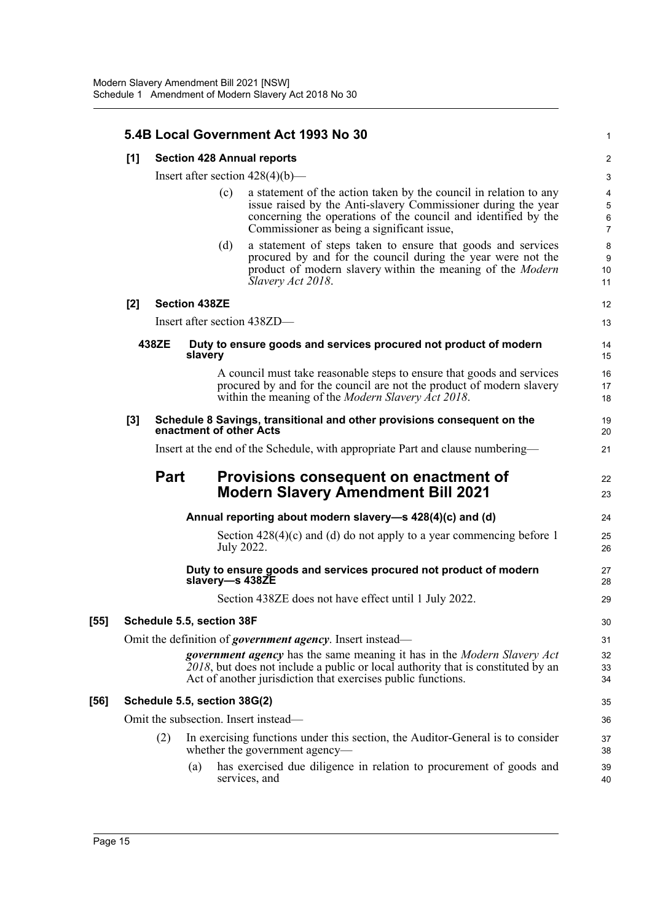|       |             |                                    |     | 5.4B Local Government Act 1993 No 30                                                                                                                                                                                                               | 1                             |  |  |  |  |  |
|-------|-------------|------------------------------------|-----|----------------------------------------------------------------------------------------------------------------------------------------------------------------------------------------------------------------------------------------------------|-------------------------------|--|--|--|--|--|
| [1]   |             |                                    |     | <b>Section 428 Annual reports</b>                                                                                                                                                                                                                  | $\overline{2}$                |  |  |  |  |  |
|       |             | Insert after section $428(4)(b)$ — |     |                                                                                                                                                                                                                                                    |                               |  |  |  |  |  |
|       |             |                                    | (c) | a statement of the action taken by the council in relation to any<br>issue raised by the Anti-slavery Commissioner during the year<br>concerning the operations of the council and identified by the<br>Commissioner as being a significant issue, | 4<br>5<br>6<br>$\overline{7}$ |  |  |  |  |  |
|       |             |                                    | (d) | a statement of steps taken to ensure that goods and services<br>procured by and for the council during the year were not the<br>product of modern slavery within the meaning of the Modern<br>Slavery Act 2018.                                    | 8<br>9<br>10<br>11            |  |  |  |  |  |
| [2]   |             | <b>Section 438ZE</b>               |     |                                                                                                                                                                                                                                                    | 12                            |  |  |  |  |  |
|       |             |                                    |     | Insert after section 438ZD-                                                                                                                                                                                                                        | 13                            |  |  |  |  |  |
|       | 438ZE       | slavery                            |     | Duty to ensure goods and services procured not product of modern                                                                                                                                                                                   | 14<br>15                      |  |  |  |  |  |
|       |             |                                    |     | A council must take reasonable steps to ensure that goods and services<br>procured by and for the council are not the product of modern slavery<br>within the meaning of the <i>Modern Slavery Act 2018</i> .                                      | 16<br>17<br>18                |  |  |  |  |  |
| $[3]$ |             | enactment of other Acts            |     | Schedule 8 Savings, transitional and other provisions consequent on the                                                                                                                                                                            | 19<br>20                      |  |  |  |  |  |
|       |             |                                    |     | Insert at the end of the Schedule, with appropriate Part and clause numbering—                                                                                                                                                                     | 21                            |  |  |  |  |  |
|       | <b>Part</b> |                                    |     | Provisions consequent on enactment of<br><b>Modern Slavery Amendment Bill 2021</b>                                                                                                                                                                 | 22<br>23                      |  |  |  |  |  |
|       |             |                                    |     | Annual reporting about modern slavery-s 428(4)(c) and (d)                                                                                                                                                                                          | 24                            |  |  |  |  |  |
|       |             |                                    |     | Section $428(4)(c)$ and (d) do not apply to a year commencing before 1<br>July 2022.                                                                                                                                                               | 25<br>26                      |  |  |  |  |  |
|       |             |                                    |     | Duty to ensure goods and services procured not product of modern<br>slavery-s 438ZE                                                                                                                                                                | 27<br>28                      |  |  |  |  |  |
|       |             |                                    |     | Section 438ZE does not have effect until 1 July 2022.                                                                                                                                                                                              | 29                            |  |  |  |  |  |
|       |             | Schedule 5.5, section 38F          |     |                                                                                                                                                                                                                                                    | $30\,$                        |  |  |  |  |  |
|       |             |                                    |     | Omit the definition of <i>government agency</i> . Insert instead—                                                                                                                                                                                  | 31                            |  |  |  |  |  |
|       |             |                                    |     | <b>government agency</b> has the same meaning it has in the <i>Modern Slavery Act</i><br>2018, but does not include a public or local authority that is constituted by an<br>Act of another jurisdiction that exercises public functions.          | 32<br>33<br>34                |  |  |  |  |  |
|       |             | Schedule 5.5, section 38G(2)       |     |                                                                                                                                                                                                                                                    | 35                            |  |  |  |  |  |
|       |             |                                    |     | Omit the subsection. Insert instead—                                                                                                                                                                                                               | 36                            |  |  |  |  |  |
|       | (2)         |                                    |     | In exercising functions under this section, the Auditor-General is to consider<br>whether the government agency—                                                                                                                                   | 37<br>38                      |  |  |  |  |  |
|       |             | (a)                                |     | has exercised due diligence in relation to procurement of goods and<br>services, and                                                                                                                                                               | 39<br>40                      |  |  |  |  |  |
|       |             |                                    |     |                                                                                                                                                                                                                                                    |                               |  |  |  |  |  |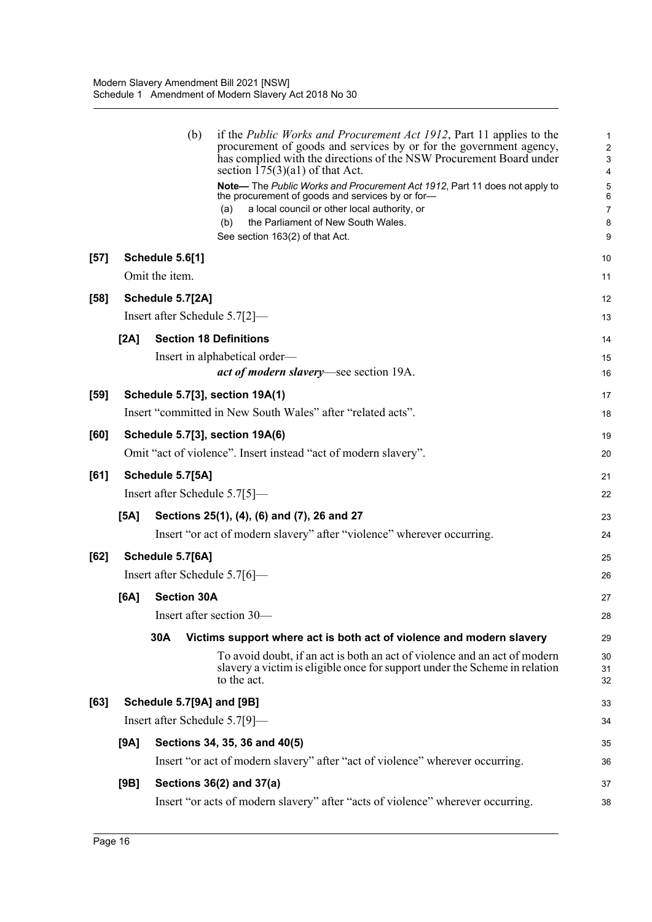|        |      | (b)                | if the <i>Public Works and Procurement Act 1912</i> , Part 11 applies to the<br>procurement of goods and services by or for the government agency,<br>has complied with the directions of the NSW Procurement Board under<br>section $175(3)(a1)$ of that Act. | 1<br>$\overline{c}$<br>3<br>4 |
|--------|------|--------------------|----------------------------------------------------------------------------------------------------------------------------------------------------------------------------------------------------------------------------------------------------------------|-------------------------------|
|        |      |                    | Note-The Public Works and Procurement Act 1912, Part 11 does not apply to<br>the procurement of goods and services by or for-                                                                                                                                  | 5<br>6                        |
|        |      |                    | a local council or other local authority, or<br>(a)                                                                                                                                                                                                            | $\overline{7}$                |
|        |      |                    | (b)<br>the Parliament of New South Wales.<br>See section 163(2) of that Act.                                                                                                                                                                                   | 8<br>9                        |
|        |      |                    |                                                                                                                                                                                                                                                                |                               |
| $[57]$ |      | Schedule 5.6[1]    |                                                                                                                                                                                                                                                                | 10                            |
|        |      | Omit the item.     |                                                                                                                                                                                                                                                                | 11                            |
| $[58]$ |      | Schedule 5.7[2A]   |                                                                                                                                                                                                                                                                | 12                            |
|        |      |                    | Insert after Schedule 5.7[2]—                                                                                                                                                                                                                                  | 13                            |
|        | [2A] |                    | <b>Section 18 Definitions</b>                                                                                                                                                                                                                                  | 14                            |
|        |      |                    | Insert in alphabetical order—                                                                                                                                                                                                                                  | 15                            |
|        |      |                    | <i>act of modern slavery</i> —see section 19A.                                                                                                                                                                                                                 | 16                            |
| $[59]$ |      |                    | <b>Schedule 5.7[3], section 19A(1)</b>                                                                                                                                                                                                                         | 17                            |
|        |      |                    | Insert "committed in New South Wales" after "related acts".                                                                                                                                                                                                    | 18                            |
| [60]   |      |                    | Schedule 5.7[3], section 19A(6)                                                                                                                                                                                                                                | 19                            |
|        |      |                    | Omit "act of violence". Insert instead "act of modern slavery".                                                                                                                                                                                                | 20                            |
| [61]   |      | Schedule 5.7[5A]   |                                                                                                                                                                                                                                                                | 21                            |
|        |      |                    | Insert after Schedule 5.7[5]—                                                                                                                                                                                                                                  | 22                            |
|        | [5A] |                    | Sections 25(1), (4), (6) and (7), 26 and 27                                                                                                                                                                                                                    | 23                            |
|        |      |                    | Insert "or act of modern slavery" after "violence" wherever occurring.                                                                                                                                                                                         | 24                            |
| [62]   |      | Schedule 5.7[6A]   |                                                                                                                                                                                                                                                                | 25                            |
|        |      |                    | Insert after Schedule 5.7[6]—                                                                                                                                                                                                                                  | 26                            |
|        | [6A] | <b>Section 30A</b> |                                                                                                                                                                                                                                                                | 27                            |
|        |      |                    | Insert after section 30-                                                                                                                                                                                                                                       | 28                            |
|        |      | 30A                | Victims support where act is both act of violence and modern slavery                                                                                                                                                                                           | 29                            |
|        |      |                    | To avoid doubt, if an act is both an act of violence and an act of modern<br>slavery a victim is eligible once for support under the Scheme in relation<br>to the act.                                                                                         | 30<br>31<br>32                |
| [63]   |      |                    | Schedule 5.7[9A] and [9B]                                                                                                                                                                                                                                      | 33                            |
|        |      |                    | Insert after Schedule 5.7[9]—                                                                                                                                                                                                                                  | 34                            |
|        | [9A] |                    | Sections 34, 35, 36 and 40(5)                                                                                                                                                                                                                                  | 35                            |
|        |      |                    | Insert "or act of modern slavery" after "act of violence" wherever occurring.                                                                                                                                                                                  | 36                            |
|        | [9B] |                    | Sections 36(2) and 37(a)                                                                                                                                                                                                                                       | 37                            |
|        |      |                    | Insert "or acts of modern slavery" after "acts of violence" wherever occurring.                                                                                                                                                                                | 38                            |
|        |      |                    |                                                                                                                                                                                                                                                                |                               |